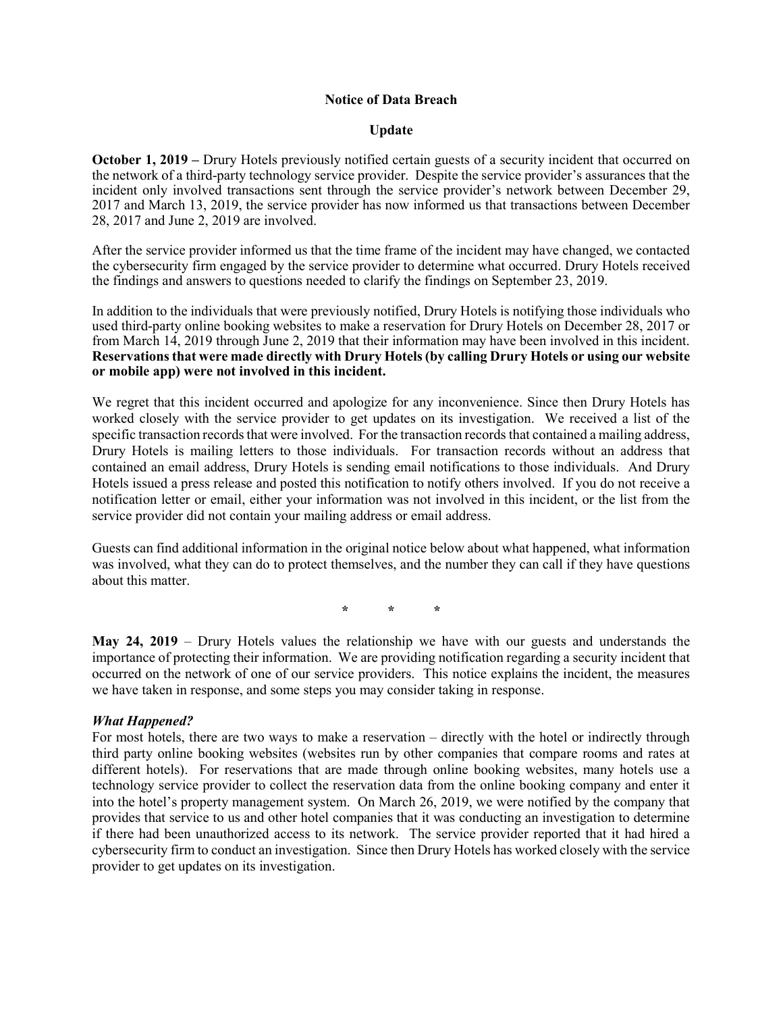### Notice of Data Breach

## Update

October 1, 2019 – Drury Hotels previously notified certain guests of a security incident that occurred on the network of a third-party technology service provider. Despite the service provider's assurances that the incident only involved transactions sent through the service provider's network between December 29, 2017 and March 13, 2019, the service provider has now informed us that transactions between December 28, 2017 and June 2, 2019 are involved.

After the service provider informed us that the time frame of the incident may have changed, we contacted the cybersecurity firm engaged by the service provider to determine what occurred. Drury Hotels received the findings and answers to questions needed to clarify the findings on September 23, 2019.

In addition to the individuals that were previously notified, Drury Hotels is notifying those individuals who used third-party online booking websites to make a reservation for Drury Hotels on December 28, 2017 or from March 14, 2019 through June 2, 2019 that their information may have been involved in this incident. Reservations that were made directly with Drury Hotels (by calling Drury Hotels or using our website or mobile app) were not involved in this incident.

We regret that this incident occurred and apologize for any inconvenience. Since then Drury Hotels has worked closely with the service provider to get updates on its investigation. We received a list of the specific transaction records that were involved. For the transaction records that contained a mailing address, Drury Hotels is mailing letters to those individuals. For transaction records without an address that contained an email address, Drury Hotels is sending email notifications to those individuals. And Drury Hotels issued a press release and posted this notification to notify others involved. If you do not receive a notification letter or email, either your information was not involved in this incident, or the list from the service provider did not contain your mailing address or email address.

Guests can find additional information in the original notice below about what happened, what information was involved, what they can do to protect themselves, and the number they can call if they have questions about this matter.

\* \* \*

May 24, 2019 – Drury Hotels values the relationship we have with our guests and understands the importance of protecting their information. We are providing notification regarding a security incident that occurred on the network of one of our service providers. This notice explains the incident, the measures we have taken in response, and some steps you may consider taking in response.

### What Happened?

For most hotels, there are two ways to make a reservation – directly with the hotel or indirectly through third party online booking websites (websites run by other companies that compare rooms and rates at different hotels). For reservations that are made through online booking websites, many hotels use a technology service provider to collect the reservation data from the online booking company and enter it into the hotel's property management system. On March 26, 2019, we were notified by the company that provides that service to us and other hotel companies that it was conducting an investigation to determine if there had been unauthorized access to its network. The service provider reported that it had hired a cybersecurity firm to conduct an investigation. Since then Drury Hotels has worked closely with the service provider to get updates on its investigation.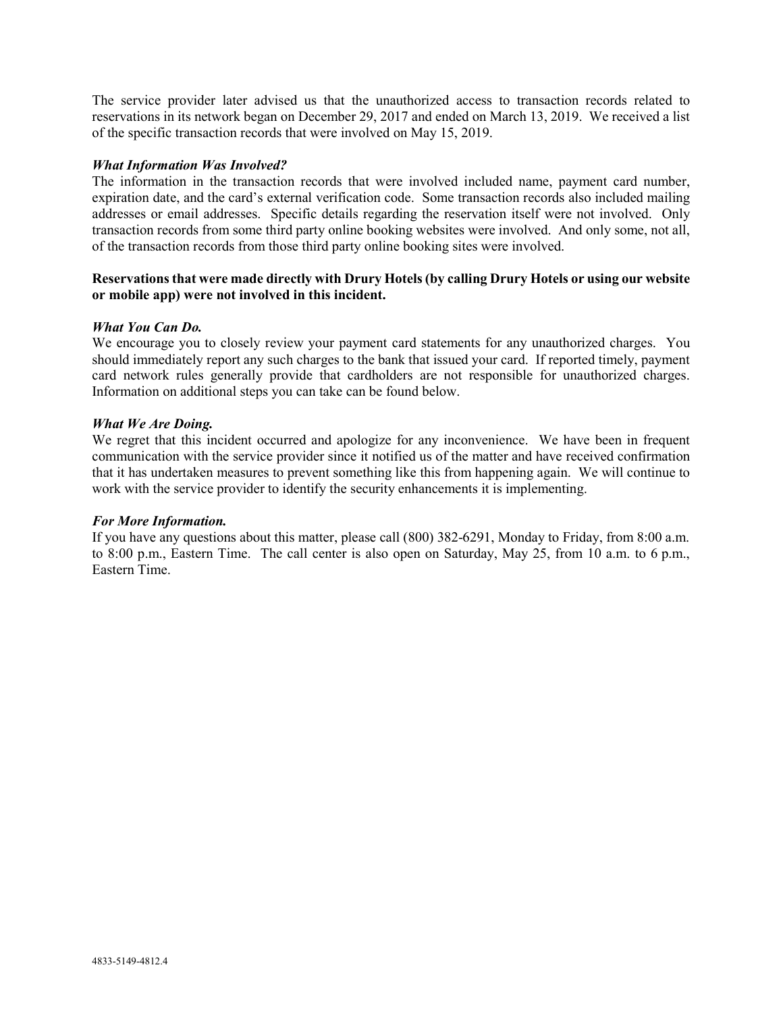The service provider later advised us that the unauthorized access to transaction records related to reservations in its network began on December 29, 2017 and ended on March 13, 2019. We received a list of the specific transaction records that were involved on May 15, 2019.

# What Information Was Involved?

The information in the transaction records that were involved included name, payment card number, expiration date, and the card's external verification code. Some transaction records also included mailing addresses or email addresses. Specific details regarding the reservation itself were not involved. Only transaction records from some third party online booking websites were involved. And only some, not all, of the transaction records from those third party online booking sites were involved.

# Reservations that were made directly with Drury Hotels (by calling Drury Hotels or using our website or mobile app) were not involved in this incident.

### What You Can Do.

We encourage you to closely review your payment card statements for any unauthorized charges. You should immediately report any such charges to the bank that issued your card. If reported timely, payment card network rules generally provide that cardholders are not responsible for unauthorized charges. Information on additional steps you can take can be found below.

### What We Are Doing.

We regret that this incident occurred and apologize for any inconvenience. We have been in frequent communication with the service provider since it notified us of the matter and have received confirmation that it has undertaken measures to prevent something like this from happening again. We will continue to work with the service provider to identify the security enhancements it is implementing.

### For More Information.

If you have any questions about this matter, please call (800) 382-6291, Monday to Friday, from 8:00 a.m. to 8:00 p.m., Eastern Time. The call center is also open on Saturday, May 25, from 10 a.m. to 6 p.m., Eastern Time.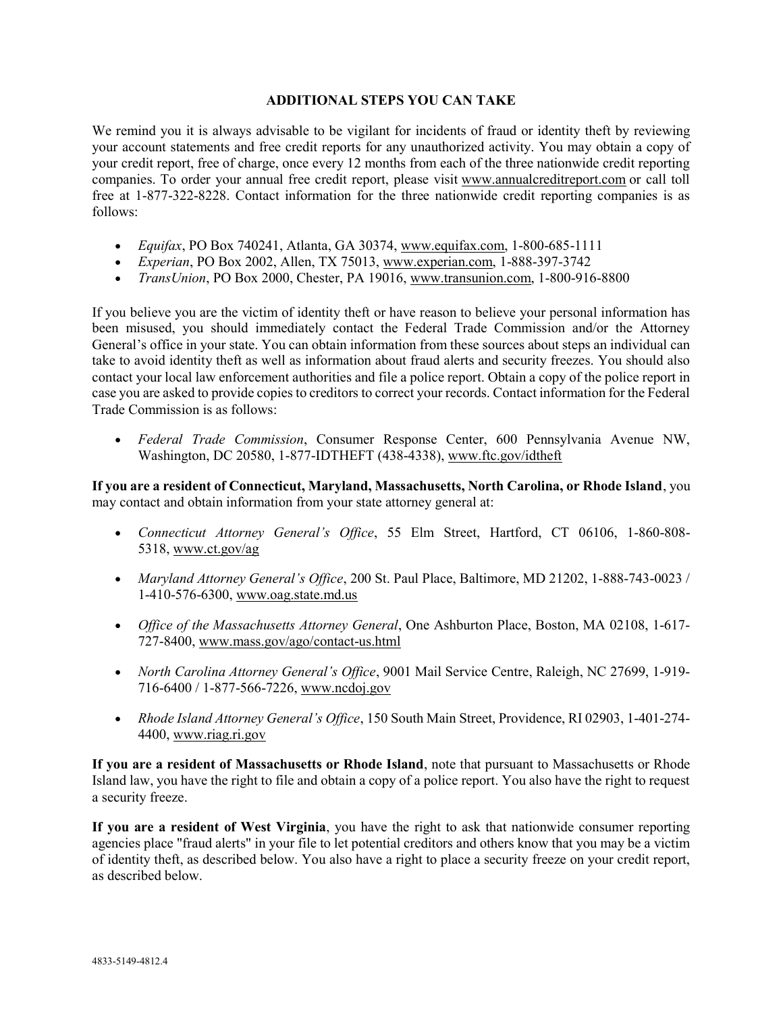# ADDITIONAL STEPS YOU CAN TAKE

We remind you it is always advisable to be vigilant for incidents of fraud or identity theft by reviewing your account statements and free credit reports for any unauthorized activity. You may obtain a copy of your credit report, free of charge, once every 12 months from each of the three nationwide credit reporting companies. To order your annual free credit report, please visit www.annualcreditreport.com or call toll free at 1-877-322-8228. Contact information for the three nationwide credit reporting companies is as follows:

- $\bullet$  Equifax, PO Box 740241, Atlanta, GA 30374, www.equifax.com, 1-800-685-1111
- Experian, PO Box 2002, Allen, TX 75013, www.experian.com, 1-888-397-3742
- TransUnion, PO Box 2000, Chester, PA 19016, www.transunion.com, 1-800-916-8800

If you believe you are the victim of identity theft or have reason to believe your personal information has been misused, you should immediately contact the Federal Trade Commission and/or the Attorney General's office in your state. You can obtain information from these sources about steps an individual can take to avoid identity theft as well as information about fraud alerts and security freezes. You should also contact your local law enforcement authorities and file a police report. Obtain a copy of the police report in case you are asked to provide copies to creditors to correct your records. Contact information for the Federal Trade Commission is as follows:

 Federal Trade Commission, Consumer Response Center, 600 Pennsylvania Avenue NW, Washington, DC 20580, 1-877-IDTHEFT (438-4338), www.ftc.gov/idtheft

If you are a resident of Connecticut, Maryland, Massachusetts, North Carolina, or Rhode Island, you may contact and obtain information from your state attorney general at:

- Connecticut Attorney General's Office, 55 Elm Street, Hartford, CT 06106, 1-860-808- 5318, www.ct.gov/ag
- Maryland Attorney General's Office, 200 St. Paul Place, Baltimore, MD 21202, 1-888-743-0023 / 1-410-576-6300, www.oag.state.md.us
- Office of the Massachusetts Attorney General, One Ashburton Place, Boston, MA 02108, 1-617-727-8400, www.mass.gov/ago/contact-us.html
- North Carolina Attorney General's Office, 9001 Mail Service Centre, Raleigh, NC 27699, 1-919-716-6400 / 1-877-566-7226, www.ncdoj.gov
- Rhode Island Attorney General's Office, 150 South Main Street, Providence, RI 02903, 1-401-274-4400, www.riag.ri.gov

If you are a resident of Massachusetts or Rhode Island, note that pursuant to Massachusetts or Rhode Island law, you have the right to file and obtain a copy of a police report. You also have the right to request a security freeze.

If you are a resident of West Virginia, you have the right to ask that nationwide consumer reporting agencies place "fraud alerts" in your file to let potential creditors and others know that you may be a victim of identity theft, as described below. You also have a right to place a security freeze on your credit report, as described below.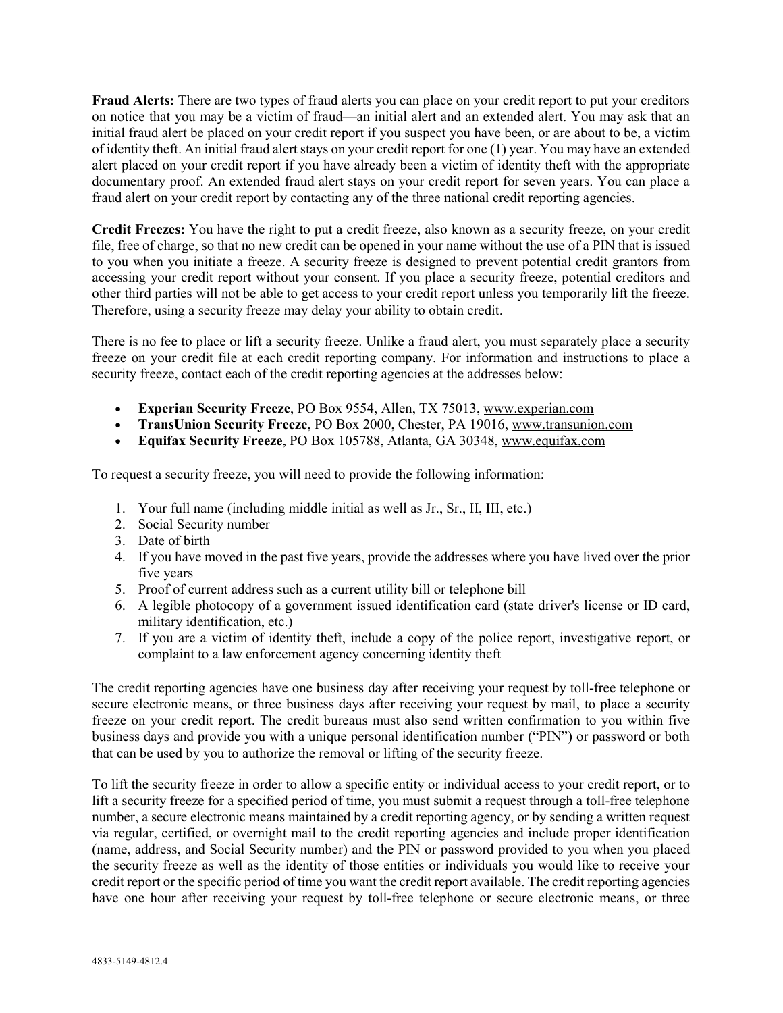Fraud Alerts: There are two types of fraud alerts you can place on your credit report to put your creditors on notice that you may be a victim of fraud—an initial alert and an extended alert. You may ask that an initial fraud alert be placed on your credit report if you suspect you have been, or are about to be, a victim of identity theft. An initial fraud alert stays on your credit report for one (1) year. You may have an extended alert placed on your credit report if you have already been a victim of identity theft with the appropriate documentary proof. An extended fraud alert stays on your credit report for seven years. You can place a fraud alert on your credit report by contacting any of the three national credit reporting agencies.

Credit Freezes: You have the right to put a credit freeze, also known as a security freeze, on your credit file, free of charge, so that no new credit can be opened in your name without the use of a PIN that is issued to you when you initiate a freeze. A security freeze is designed to prevent potential credit grantors from accessing your credit report without your consent. If you place a security freeze, potential creditors and other third parties will not be able to get access to your credit report unless you temporarily lift the freeze. Therefore, using a security freeze may delay your ability to obtain credit.

There is no fee to place or lift a security freeze. Unlike a fraud alert, you must separately place a security freeze on your credit file at each credit reporting company. For information and instructions to place a security freeze, contact each of the credit reporting agencies at the addresses below:

- Experian Security Freeze, PO Box 9554, Allen, TX 75013, www.experian.com
- TransUnion Security Freeze, PO Box 2000, Chester, PA 19016, www.transunion.com
- Equifax Security Freeze, PO Box 105788, Atlanta, GA 30348, www.equifax.com

To request a security freeze, you will need to provide the following information:

- 1. Your full name (including middle initial as well as Jr., Sr., II, III, etc.)
- 2. Social Security number
- 3. Date of birth
- 4. If you have moved in the past five years, provide the addresses where you have lived over the prior five years
- 5. Proof of current address such as a current utility bill or telephone bill
- 6. A legible photocopy of a government issued identification card (state driver's license or ID card, military identification, etc.)
- 7. If you are a victim of identity theft, include a copy of the police report, investigative report, or complaint to a law enforcement agency concerning identity theft

The credit reporting agencies have one business day after receiving your request by toll-free telephone or secure electronic means, or three business days after receiving your request by mail, to place a security freeze on your credit report. The credit bureaus must also send written confirmation to you within five business days and provide you with a unique personal identification number ("PIN") or password or both that can be used by you to authorize the removal or lifting of the security freeze.

To lift the security freeze in order to allow a specific entity or individual access to your credit report, or to lift a security freeze for a specified period of time, you must submit a request through a toll-free telephone number, a secure electronic means maintained by a credit reporting agency, or by sending a written request via regular, certified, or overnight mail to the credit reporting agencies and include proper identification (name, address, and Social Security number) and the PIN or password provided to you when you placed the security freeze as well as the identity of those entities or individuals you would like to receive your credit report or the specific period of time you want the credit report available. The credit reporting agencies have one hour after receiving your request by toll-free telephone or secure electronic means, or three